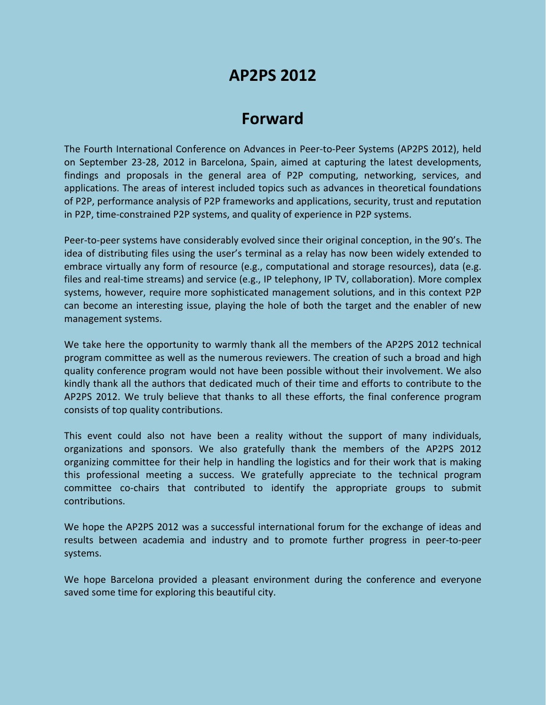## **AP2PS 2012**

## **Forward**

The Fourth International Conference on Advances in Peer-to-Peer Systems (AP2PS 2012), held on September 23-28, 2012 in Barcelona, Spain, aimed at capturing the latest developments, findings and proposals in the general area of P2P computing, networking, services, and applications. The areas of interest included topics such as advances in theoretical foundations of P2P, performance analysis of P2P frameworks and applications, security, trust and reputation in P2P, time-constrained P2P systems, and quality of experience in P2P systems.

Peer-to-peer systems have considerably evolved since their original conception, in the 90's. The idea of distributing files using the user's terminal as a relay has now been widely extended to embrace virtually any form of resource (e.g., computational and storage resources), data (e.g. files and real-time streams) and service (e.g., IP telephony, IP TV, collaboration). More complex systems, however, require more sophisticated management solutions, and in this context P2P can become an interesting issue, playing the hole of both the target and the enabler of new management systems.

We take here the opportunity to warmly thank all the members of the AP2PS 2012 technical program committee as well as the numerous reviewers. The creation of such a broad and high quality conference program would not have been possible without their involvement. We also kindly thank all the authors that dedicated much of their time and efforts to contribute to the AP2PS 2012. We truly believe that thanks to all these efforts, the final conference program consists of top quality contributions.

This event could also not have been a reality without the support of many individuals, organizations and sponsors. We also gratefully thank the members of the AP2PS 2012 organizing committee for their help in handling the logistics and for their work that is making this professional meeting a success. We gratefully appreciate to the technical program committee co-chairs that contributed to identify the appropriate groups to submit contributions.

We hope the AP2PS 2012 was a successful international forum for the exchange of ideas and results between academia and industry and to promote further progress in peer-to-peer systems.

We hope Barcelona provided a pleasant environment during the conference and everyone saved some time for exploring this beautiful city.